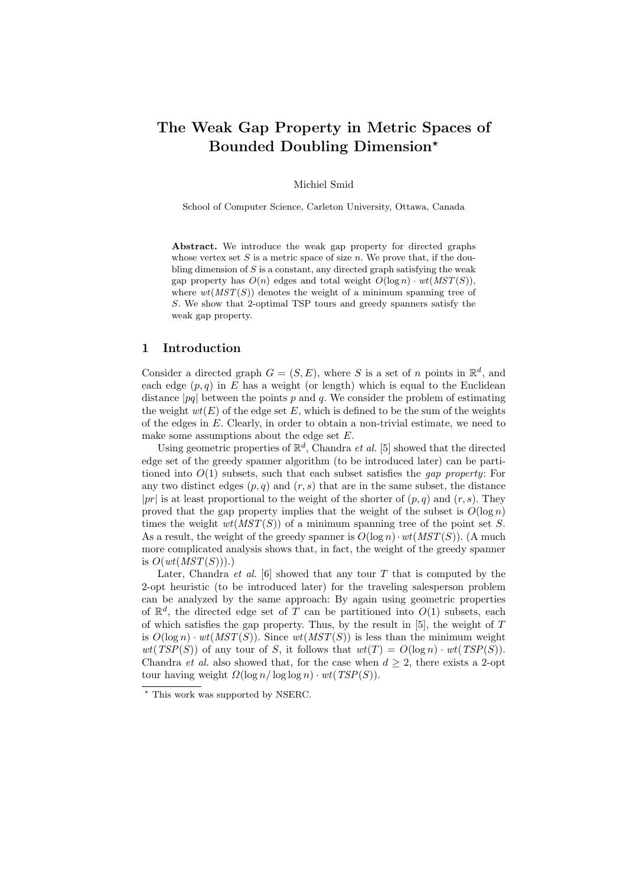# The Weak Gap Property in Metric Spaces of Bounded Doubling Dimension?

Michiel Smid

School of Computer Science, Carleton University, Ottawa, Canada

Abstract. We introduce the weak gap property for directed graphs whose vertex set  $S$  is a metric space of size  $n$ . We prove that, if the doubling dimension of  $S$  is a constant, any directed graph satisfying the weak gap property has  $O(n)$  edges and total weight  $O(\log n) \cdot wt(MST(S)),$ where  $wt(MST(S))$  denotes the weight of a minimum spanning tree of S. We show that 2-optimal TSP tours and greedy spanners satisfy the weak gap property.

# 1 Introduction

Consider a directed graph  $G = (S, E)$ , where S is a set of n points in  $\mathbb{R}^d$ , and each edge  $(p, q)$  in E has a weight (or length) which is equal to the Euclidean distance  $|pq|$  between the points p and q. We consider the problem of estimating the weight  $wt(E)$  of the edge set E, which is defined to be the sum of the weights of the edges in  $E$ . Clearly, in order to obtain a non-trivial estimate, we need to make some assumptions about the edge set  $E$ .

Using geometric properties of  $\mathbb{R}^d$ , Chandra *et al.* [5] showed that the directed edge set of the greedy spanner algorithm (to be introduced later) can be partitioned into  $O(1)$  subsets, such that each subset satisfies the *gap property*: For any two distinct edges  $(p, q)$  and  $(r, s)$  that are in the same subset, the distance  $|pr|$  is at least proportional to the weight of the shorter of  $(p, q)$  and  $(r, s)$ . They proved that the gap property implies that the weight of the subset is  $O(\log n)$ times the weight  $wt(MST(S))$  of a minimum spanning tree of the point set S. As a result, the weight of the greedy spanner is  $O(\log n) \cdot wt(MST(S))$ . (A much more complicated analysis shows that, in fact, the weight of the greedy spanner is  $O(wt(MST(S)))$ .

Later, Chandra et al.  $[6]$  showed that any tour T that is computed by the 2-opt heuristic (to be introduced later) for the traveling salesperson problem can be analyzed by the same approach: By again using geometric properties of  $\mathbb{R}^d$ , the directed edge set of T can be partitioned into  $O(1)$  subsets, each of which satisfies the gap property. Thus, by the result in  $[5]$ , the weight of T is  $O(\log n) \cdot wt(MST(S))$ . Since  $wt(MST(S))$  is less than the minimum weight  $wt(TSP(S))$  of any tour of S, it follows that  $wt(T) = O(\log n) \cdot wt(TSP(S)).$ Chandra *et al.* also showed that, for the case when  $d \geq 2$ , there exists a 2-opt tour having weight  $\Omega(\log n / \log \log n) \cdot wt(TSP(S)).$ 

<sup>?</sup> This work was supported by NSERC.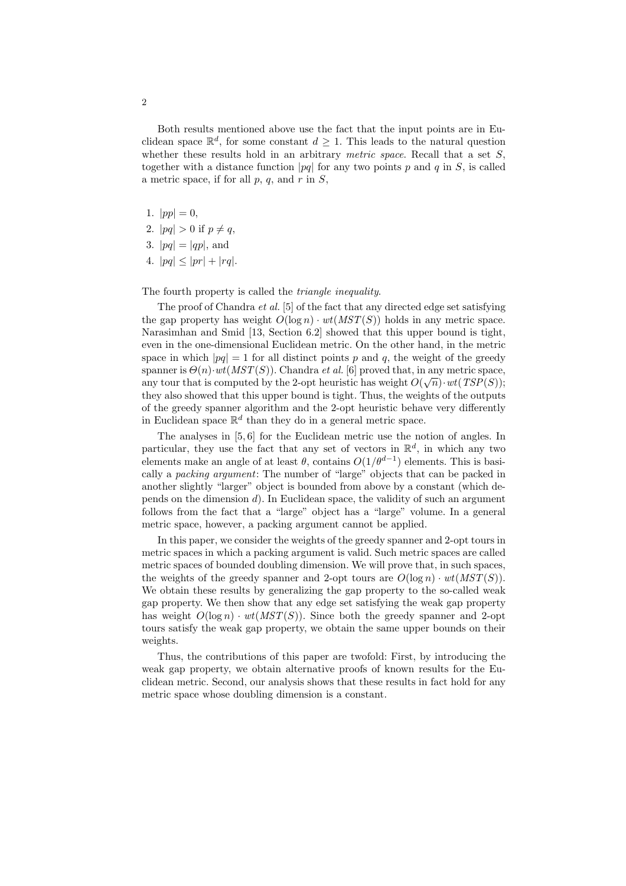Both results mentioned above use the fact that the input points are in Euclidean space  $\mathbb{R}^d$ , for some constant  $d \geq 1$ . This leads to the natural question whether these results hold in an arbitrary *metric space*. Recall that a set  $S$ , together with a distance function  $|pq|$  for any two points p and q in S, is called a metric space, if for all  $p, q$ , and  $r$  in  $S$ ,

- 1.  $|pp| = 0$ ,
- 2.  $|pq| > 0$  if  $p \neq q$ ,
- 3.  $|pq| = |qp|$ , and
- 4.  $|pq| \le |pr| + |rq|$ .

The fourth property is called the triangle inequality.

The proof of Chandra *et al.* [5] of the fact that any directed edge set satisfying the gap property has weight  $O(\log n) \cdot wt(MST(S))$  holds in any metric space. Narasimhan and Smid [13, Section 6.2] showed that this upper bound is tight, even in the one-dimensional Euclidean metric. On the other hand, in the metric space in which  $|pq| = 1$  for all distinct points p and q, the weight of the greedy spanner is  $\Theta(n) \cdot wt(MST(S))$ . Chandra *et al.* [6] proved that, in any metric space, any tour that is computed by the 2-opt heuristic has weight  $O(\sqrt{n}) \cdot wt(TSP(S))$ ; they also showed that this upper bound is tight. Thus, the weights of the outputs of the greedy spanner algorithm and the 2-opt heuristic behave very differently in Euclidean space  $\mathbb{R}^d$  than they do in a general metric space.

The analyses in [5, 6] for the Euclidean metric use the notion of angles. In particular, they use the fact that any set of vectors in  $\mathbb{R}^d$ , in which any two elements make an angle of at least  $\theta$ , contains  $O(1/\theta^{d-1})$  elements. This is basically a packing argument: The number of "large" objects that can be packed in another slightly "larger" object is bounded from above by a constant (which depends on the dimension  $d$ ). In Euclidean space, the validity of such an argument follows from the fact that a "large" object has a "large" volume. In a general metric space, however, a packing argument cannot be applied.

In this paper, we consider the weights of the greedy spanner and 2-opt tours in metric spaces in which a packing argument is valid. Such metric spaces are called metric spaces of bounded doubling dimension. We will prove that, in such spaces, the weights of the greedy spanner and 2-opt tours are  $O(\log n) \cdot wt(MST(S))$ . We obtain these results by generalizing the gap property to the so-called weak gap property. We then show that any edge set satisfying the weak gap property has weight  $O(\log n) \cdot wt(MST(S))$ . Since both the greedy spanner and 2-opt tours satisfy the weak gap property, we obtain the same upper bounds on their weights.

Thus, the contributions of this paper are twofold: First, by introducing the weak gap property, we obtain alternative proofs of known results for the Euclidean metric. Second, our analysis shows that these results in fact hold for any metric space whose doubling dimension is a constant.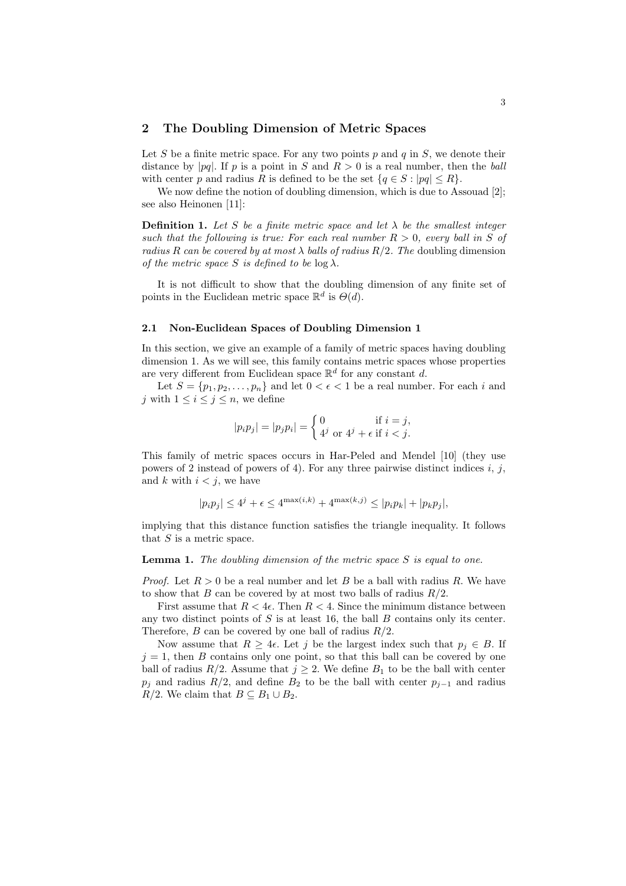## 2 The Doubling Dimension of Metric Spaces

Let S be a finite metric space. For any two points p and q in S, we denote their distance by |pq|. If p is a point in S and  $R > 0$  is a real number, then the ball with center p and radius R is defined to be the set  $\{q \in S : |pq| \leq R\}.$ 

We now define the notion of doubling dimension, which is due to Assouad [2]; see also Heinonen [11]:

**Definition 1.** Let S be a finite metric space and let  $\lambda$  be the smallest integer such that the following is true: For each real number  $R > 0$ , every ball in S of radius R can be covered by at most  $\lambda$  balls of radius  $R/2$ . The doubling dimension of the metric space S is defined to be  $\log \lambda$ .

It is not difficult to show that the doubling dimension of any finite set of points in the Euclidean metric space  $\mathbb{R}^d$  is  $\Theta(d)$ .

#### 2.1 Non-Euclidean Spaces of Doubling Dimension 1

In this section, we give an example of a family of metric spaces having doubling dimension 1. As we will see, this family contains metric spaces whose properties are very different from Euclidean space  $\mathbb{R}^d$  for any constant d.

Let  $S = \{p_1, p_2, \ldots, p_n\}$  and let  $0 < \epsilon < 1$  be a real number. For each i and j with  $1 \leq i \leq j \leq n$ , we define

$$
|p_i p_j| = |p_j p_i| = \begin{cases} 0 & \text{if } i = j, \\ 4^j \text{ or } 4^j + \epsilon \text{ if } i < j. \end{cases}
$$

This family of metric spaces occurs in Har-Peled and Mendel [10] (they use powers of 2 instead of powers of 4). For any three pairwise distinct indices  $i, j$ , and k with  $i < j$ , we have

$$
|p_i p_j| \le 4^j + \epsilon \le 4^{\max(i,k)} + 4^{\max(k,j)} \le |p_i p_k| + |p_k p_j|,
$$

implying that this distance function satisfies the triangle inequality. It follows that  $S$  is a metric space.

**Lemma 1.** The doubling dimension of the metric space  $S$  is equal to one.

*Proof.* Let  $R > 0$  be a real number and let B be a ball with radius R. We have to show that B can be covered by at most two balls of radius  $R/2$ .

First assume that  $R < 4\epsilon$ . Then  $R < 4$ . Since the minimum distance between any two distinct points of  $S$  is at least 16, the ball  $B$  contains only its center. Therefore,  $B$  can be covered by one ball of radius  $R/2$ .

Now assume that  $R \geq 4\epsilon$ . Let j be the largest index such that  $p_j \in B$ . If  $j = 1$ , then B contains only one point, so that this ball can be covered by one ball of radius  $R/2$ . Assume that  $j \geq 2$ . We define  $B_1$  to be the ball with center  $p_j$  and radius  $R/2$ , and define  $B_2$  to be the ball with center  $p_{j-1}$  and radius R/2. We claim that  $B \subseteq B_1 \cup B_2$ .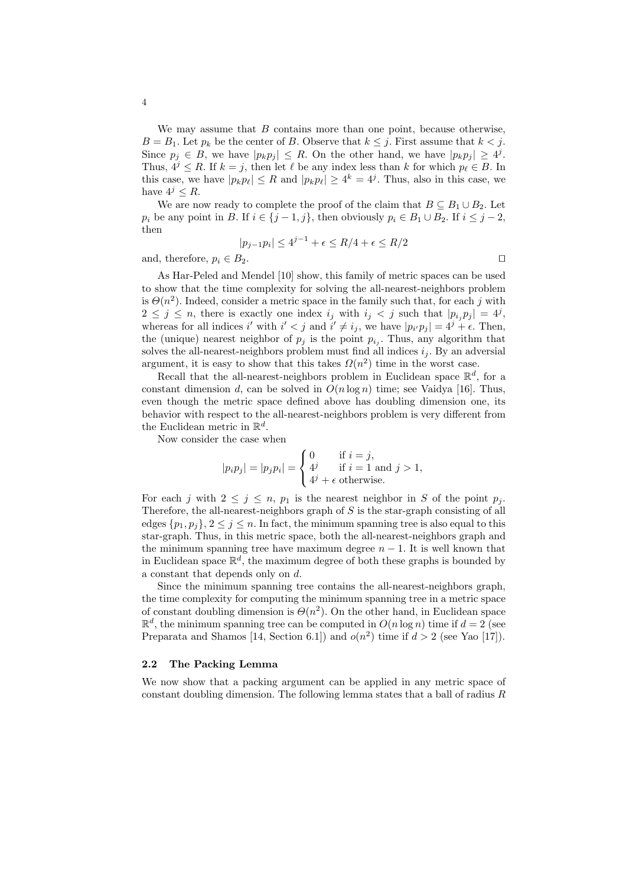We may assume that  $B$  contains more than one point, because otherwise,  $B = B_1$ . Let  $p_k$  be the center of B. Observe that  $k \leq j$ . First assume that  $k < j$ . Since  $p_j \in B$ , we have  $|p_k p_j| \leq R$ . On the other hand, we have  $|p_k p_j| \geq 4^j$ . Thus,  $4^{j} \leq R$ . If  $k = j$ , then let  $\ell$  be any index less than k for which  $p_{\ell} \in B$ . In this case, we have  $|p_k p_\ell| \leq R$  and  $|p_k p_\ell| \geq 4^k = 4^j$ . Thus, also in this case, we have  $4^j \leq R$ .

We are now ready to complete the proof of the claim that  $B \subseteq B_1 \cup B_2$ . Let  $p_i$  be any point in B. If  $i \in \{j-1,j\}$ , then obviously  $p_i \in B_1 \cup B_2$ . If  $i \leq j-2$ , then

$$
|p_{j-1}p_i| \le 4^{j-1} + \epsilon \le R/4 + \epsilon \le R/2
$$

and, therefore,  $p_i \in B_2$ .

As Har-Peled and Mendel [10] show, this family of metric spaces can be used to show that the time complexity for solving the all-nearest-neighbors problem is  $\Theta(n^2)$ . Indeed, consider a metric space in the family such that, for each j with  $2 \leq j \leq n$ , there is exactly one index  $i_j$  with  $i_j < j$  such that  $|p_{i_j}p_j| = 4^j$ , whereas for all indices i' with  $i' < j$  and  $i' \neq i_j$ , we have  $|p_{i'}p_j| = 4^j + \epsilon$ . Then, the (unique) nearest neighbor of  $p_j$  is the point  $p_{i_j}$ . Thus, any algorithm that solves the all-nearest-neighbors problem must find all indices  $i_j$ . By an adversial argument, it is easy to show that this takes  $\Omega(n^2)$  time in the worst case.

Recall that the all-nearest-neighbors problem in Euclidean space  $\mathbb{R}^d$ , for a constant dimension d, can be solved in  $O(n \log n)$  time; see Vaidya [16]. Thus, even though the metric space defined above has doubling dimension one, its behavior with respect to the all-nearest-neighbors problem is very different from the Euclidean metric in  $\mathbb{R}^d$ .

Now consider the case when

$$
|p_i p_j| = |p_j p_i| = \begin{cases} 0 & \text{if } i = j, \\ 4^j & \text{if } i = 1 \text{ and } j > 1, \\ 4^j + \epsilon \text{ otherwise.} \end{cases}
$$

For each j with  $2 \leq j \leq n$ ,  $p_1$  is the nearest neighbor in S of the point  $p_j$ . Therefore, the all-nearest-neighbors graph of  $S$  is the star-graph consisting of all edges  $\{p_1, p_j\}, 2 \le j \le n$ . In fact, the minimum spanning tree is also equal to this star-graph. Thus, in this metric space, both the all-nearest-neighbors graph and the minimum spanning tree have maximum degree  $n - 1$ . It is well known that in Euclidean space  $\mathbb{R}^d$ , the maximum degree of both these graphs is bounded by a constant that depends only on d.

Since the minimum spanning tree contains the all-nearest-neighbors graph, the time complexity for computing the minimum spanning tree in a metric space of constant doubling dimension is  $\Theta(n^2)$ . On the other hand, in Euclidean space  $\mathbb{R}^d$ , the minimum spanning tree can be computed in  $O(n \log n)$  time if  $d = 2$  (see Preparata and Shamos [14, Section 6.1]) and  $o(n^2)$  time if  $d > 2$  (see Yao [17]).

#### 2.2 The Packing Lemma

We now show that a packing argument can be applied in any metric space of constant doubling dimension. The following lemma states that a ball of radius  $R$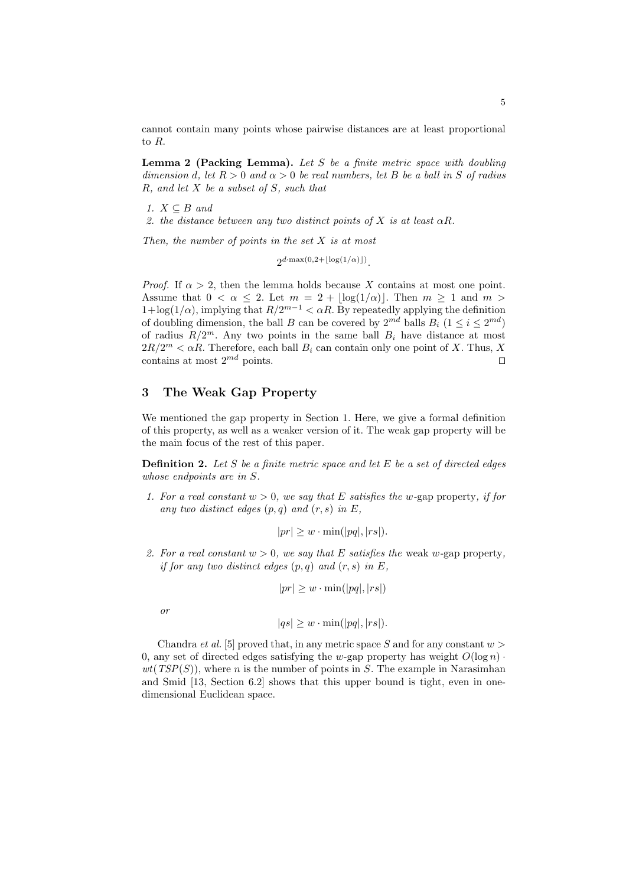cannot contain many points whose pairwise distances are at least proportional to R.

**Lemma 2 (Packing Lemma).** Let  $S$  be a finite metric space with doubling dimension d, let  $R > 0$  and  $\alpha > 0$  be real numbers, let B be a ball in S of radius  $R$ , and let  $X$  be a subset of  $S$ , such that

1.  $X \subseteq B$  and

2. the distance between any two distinct points of X is at least  $\alpha R$ .

Then, the number of points in the set  $X$  is at most

 $2^{d \cdot \max(0, 2 + \lfloor \log(1/\alpha) \rfloor)}.$ 

*Proof.* If  $\alpha > 2$ , then the lemma holds because X contains at most one point. Assume that  $0 < \alpha \leq 2$ . Let  $m = 2 + |\log(1/\alpha)|$ . Then  $m \geq 1$  and  $m >$  $1 + \log(1/\alpha)$ , implying that  $R/2^{m-1} < \alpha R$ . By repeatedly applying the definition of doubling dimension, the ball B can be covered by  $2^{md}$  balls  $B_i$   $(1 \leq i \leq 2^{md})$ of radius  $R/2^m$ . Any two points in the same ball  $B_i$  have distance at most  $2R/2^m < \alpha R$ . Therefore, each ball  $B_i$  can contain only one point of X. Thus, X contains at most  $2^{md}$  points.

# 3 The Weak Gap Property

We mentioned the gap property in Section 1. Here, we give a formal definition of this property, as well as a weaker version of it. The weak gap property will be the main focus of the rest of this paper.

**Definition 2.** Let  $S$  be a finite metric space and let  $E$  be a set of directed edges whose endpoints are in S.

1. For a real constant  $w > 0$ , we say that E satisfies the w-gap property, if for any two distinct edges  $(p, q)$  and  $(r, s)$  in E,

$$
|pr| \geq w \cdot \min(|pq|, |rs|).
$$

2. For a real constant  $w > 0$ , we say that E satisfies the weak w-gap property, if for any two distinct edges  $(p, q)$  and  $(r, s)$  in E,

$$
|pr| \geq w \cdot \min(|pq|, |rs|)
$$

or

$$
|qs| \geq w \cdot \min(|pq|, |rs|).
$$

Chandra *et al.* [5] proved that, in any metric space S and for any constant  $w >$ 0, any set of directed edges satisfying the w-gap property has weight  $O(\log n)$ .  $wt(TSP(S))$ , where *n* is the number of points in *S*. The example in Narasimhan and Smid [13, Section 6.2] shows that this upper bound is tight, even in onedimensional Euclidean space.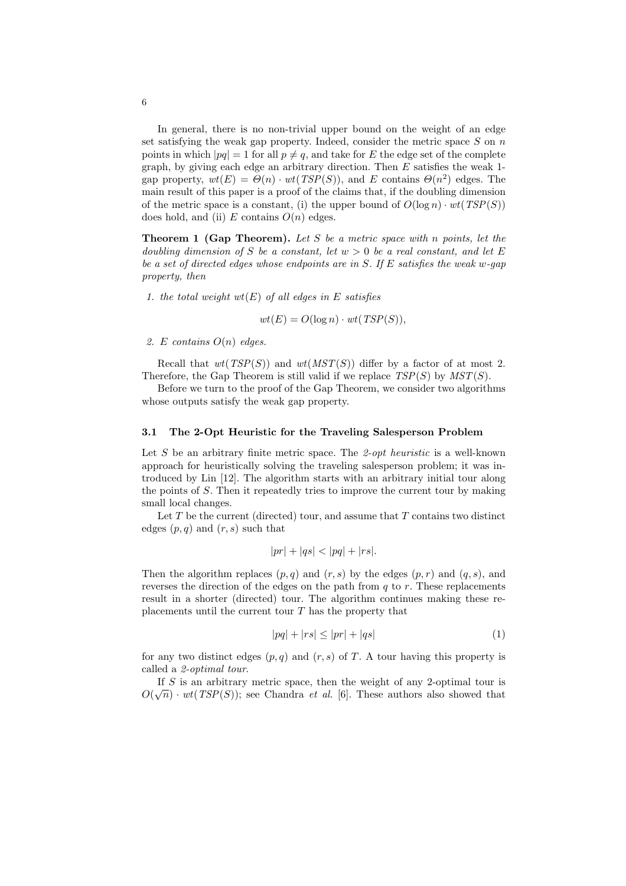In general, there is no non-trivial upper bound on the weight of an edge set satisfying the weak gap property. Indeed, consider the metric space  $S$  on  $n$ points in which  $|pq| = 1$  for all  $p \neq q$ , and take for E the edge set of the complete graph, by giving each edge an arbitrary direction. Then  $E$  satisfies the weak 1gap property,  $wt(E) = \Theta(n) \cdot wt(TSP(S))$ , and E contains  $\Theta(n^2)$  edges. The main result of this paper is a proof of the claims that, if the doubling dimension of the metric space is a constant, (i) the upper bound of  $O(\log n) \cdot wt(TSP(S))$ does hold, and (ii) E contains  $O(n)$  edges.

**Theorem 1 (Gap Theorem).** Let S be a metric space with n points, let the doubling dimension of S be a constant, let  $w > 0$  be a real constant, and let E be a set of directed edges whose endpoints are in S. If E satisfies the weak w-gap property, then

1. the total weight  $wt(E)$  of all edges in E satisfies

$$
wt(E) = O(\log n) \cdot wt(TSP(S)),
$$

2. E contains  $O(n)$  edges.

Recall that  $wt(TSP(S))$  and  $wt(MST(S))$  differ by a factor of at most 2. Therefore, the Gap Theorem is still valid if we replace  $TSP(S)$  by  $MST(S)$ .

Before we turn to the proof of the Gap Theorem, we consider two algorithms whose outputs satisfy the weak gap property.

## 3.1 The 2-Opt Heuristic for the Traveling Salesperson Problem

Let  $S$  be an arbitrary finite metric space. The 2-opt heuristic is a well-known approach for heuristically solving the traveling salesperson problem; it was introduced by Lin [12]. The algorithm starts with an arbitrary initial tour along the points of S. Then it repeatedly tries to improve the current tour by making small local changes.

Let  $T$  be the current (directed) tour, and assume that  $T$  contains two distinct edges  $(p, q)$  and  $(r, s)$  such that

$$
|pr| + |qs| < |pq| + |rs|.
$$

Then the algorithm replaces  $(p, q)$  and  $(r, s)$  by the edges  $(p, r)$  and  $(q, s)$ , and reverses the direction of the edges on the path from  $q$  to  $r$ . These replacements result in a shorter (directed) tour. The algorithm continues making these replacements until the current tour  $T$  has the property that

$$
|pq| + |rs| \le |pr| + |qs| \tag{1}
$$

for any two distinct edges  $(p, q)$  and  $(r, s)$  of T. A tour having this property is called a 2-optimal tour.

If S is an arbitrary metric space, then the weight of any 2-optimal tour is  $O(\sqrt{n}) \cdot wt(TSP(S))$ ; see Chandra *et al.* [6]. These authors also showed that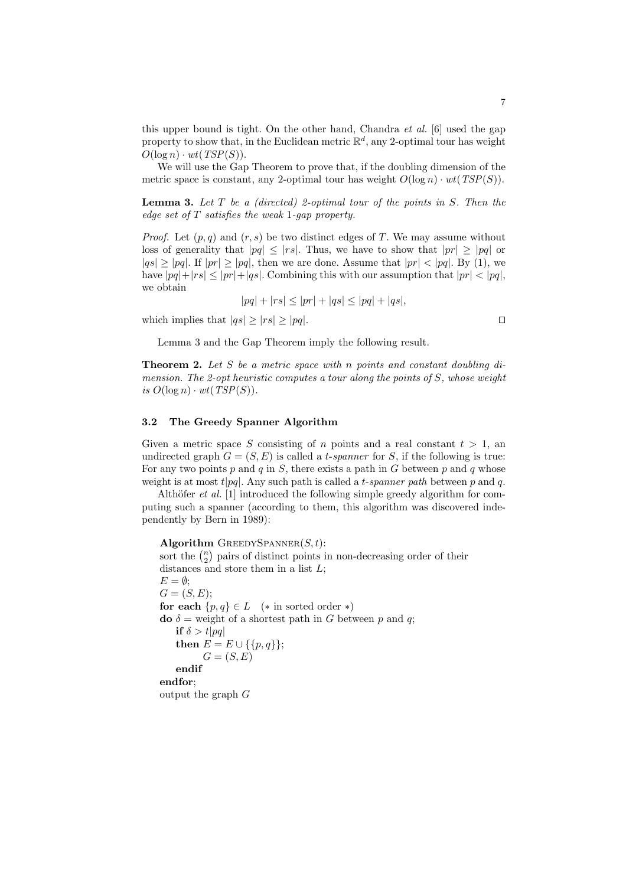this upper bound is tight. On the other hand, Chandra et al. [6] used the gap property to show that, in the Euclidean metric  $\mathbb{R}^d$ , any 2-optimal tour has weight  $O(\log n) \cdot wt(TSP(S)).$ 

We will use the Gap Theorem to prove that, if the doubling dimension of the metric space is constant, any 2-optimal tour has weight  $O(\log n) \cdot wt(TSP(S)).$ 

**Lemma 3.** Let  $T$  be a (directed) 2-optimal tour of the points in  $S$ . Then the edge set of T satisfies the weak 1-gap property.

*Proof.* Let  $(p, q)$  and  $(r, s)$  be two distinct edges of T. We may assume without loss of generality that  $|pq| \leq |rs|$ . Thus, we have to show that  $|pr| \geq |pq|$  or  $|qs| \ge |pq|$ . If  $|pr| \ge |pq|$ , then we are done. Assume that  $|pr| < |pq|$ . By (1), we have  $|pq|+|rs| \le |pr|+|qs|$ . Combining this with our assumption that  $|pr| < |pq|$ , we obtain

$$
|pq| + |rs| \le |pr| + |qs| \le |pq| + |qs|,
$$

which implies that  $|qs| \geq |rs| \geq |pq|$ .

Lemma 3 and the Gap Theorem imply the following result.

**Theorem 2.** Let S be a metric space with n points and constant doubling dimension. The 2-opt heuristic computes a tour along the points of  $S$ , whose weight is  $O(\log n) \cdot wt(TSP(S))$ .

#### 3.2 The Greedy Spanner Algorithm

Given a metric space S consisting of n points and a real constant  $t > 1$ , and undirected graph  $G = (S, E)$  is called a *t-spanner* for S, if the following is true: For any two points p and q in S, there exists a path in G between p and q whose weight is at most  $t|pa|$ . Any such path is called a t-spanner path between p and q.

Althöfer *et al.* [1] introduced the following simple greedy algorithm for computing such a spanner (according to them, this algorithm was discovered independently by Bern in 1989):

Algorithm GREEDYSPANNER $(S, t)$ : **Algorithm** GREEDYSPANNER(S, t):<br>sort the  $\binom{n}{2}$  pairs of distinct points in non-decreasing order of their distances and store them in a list  $L$ ;  $E = \emptyset$ ;  $G = (S, E)$ ; for each  $\{p,q\} \in L$  (\* in sorted order \*) do  $\delta$  = weight of a shortest path in G between p and q; if  $\delta > t|pq|$ then  $E = E \cup \{\{p, q\}\};$  $G = (S, E)$ endif endfor; output the graph G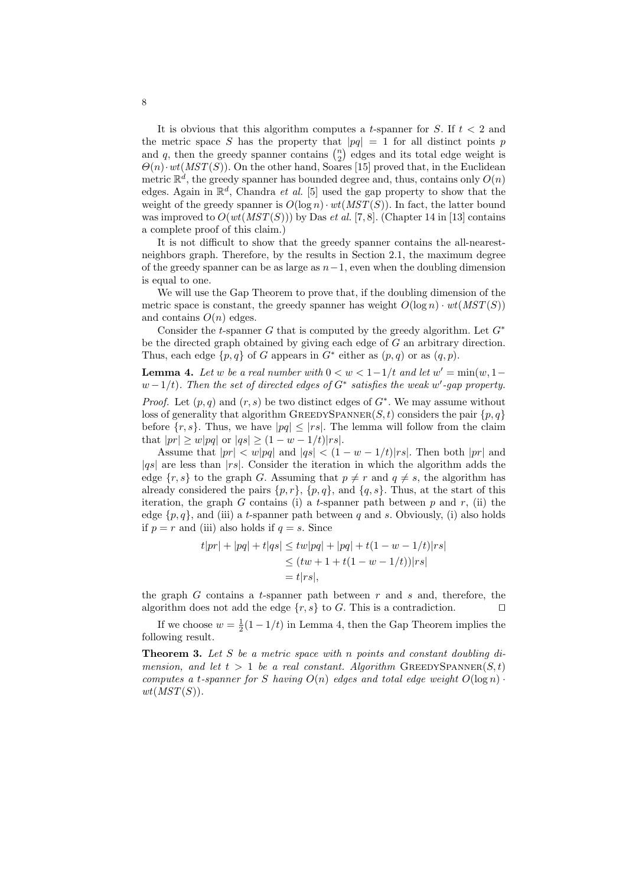It is obvious that this algorithm computes a t-spanner for S. If  $t < 2$  and the metric space S has the property that  $|pq| = 1$  for all distinct points p the metric space S has the property that  $|pq| = 1$  for all distinct points p and q, then the greedy spanner contains  $\binom{n}{2}$  edges and its total edge weight is  $\Theta(n) \cdot wt(MST(S))$ . On the other hand, Soares [15] proved that, in the Euclidean metric  $\mathbb{R}^d$ , the greedy spanner has bounded degree and, thus, contains only  $O(n)$ edges. Again in  $\mathbb{R}^d$ , Chandra *et al.* [5] used the gap property to show that the weight of the greedy spanner is  $O(\log n) \cdot wt(MST(S))$ . In fact, the latter bound was improved to  $O(wt(MST(S)))$  by Das et al. [7, 8]. (Chapter 14 in [13] contains a complete proof of this claim.)

It is not difficult to show that the greedy spanner contains the all-nearestneighbors graph. Therefore, by the results in Section 2.1, the maximum degree of the greedy spanner can be as large as  $n-1$ , even when the doubling dimension is equal to one.

We will use the Gap Theorem to prove that, if the doubling dimension of the metric space is constant, the greedy spanner has weight  $O(\log n) \cdot wt(MST(S))$ and contains  $O(n)$  edges.

Consider the t-spanner G that is computed by the greedy algorithm. Let  $G^*$ be the directed graph obtained by giving each edge of G an arbitrary direction. Thus, each edge  $\{p,q\}$  of G appears in  $G^*$  either as  $(p,q)$  or as  $(q,p)$ .

**Lemma 4.** Let w be a real number with  $0 < w < 1-1/t$  and let  $w' = min(w, 1-t)$  $w-1/t$ ). Then the set of directed edges of  $G^*$  satisfies the weak w'-gap property.

*Proof.* Let  $(p, q)$  and  $(r, s)$  be two distinct edges of  $G^*$ . We may assume without loss of generality that algorithm GREEDYSPANNER(S, t) considers the pair  $\{p, q\}$ before  $\{r, s\}$ . Thus, we have  $|pq| \leq |rs|$ . The lemma will follow from the claim that  $|pr| \ge w|pq|$  or  $|qs| \ge (1 - w - 1/t)|rs|$ .

Assume that  $|pr| < w|pq|$  and  $|qs| < (1 - w - 1/t)|rs|$ . Then both  $|pr|$  and  $|qs|$  are less than  $|rs|$ . Consider the iteration in which the algorithm adds the edge  $\{r, s\}$  to the graph G. Assuming that  $p \neq r$  and  $q \neq s$ , the algorithm has already considered the pairs  $\{p, r\}$ ,  $\{p, q\}$ , and  $\{q, s\}$ . Thus, at the start of this iteration, the graph G contains (i) a t-spanner path between  $p$  and  $r$ , (ii) the edge  $\{p, q\}$ , and (iii) a t-spanner path between q and s. Obviously, (i) also holds if  $p = r$  and (iii) also holds if  $q = s$ . Since

$$
t|pr| + |pq| + t|qs| \le tw|pq| + |pq| + t(1 - w - 1/t)|rs|
$$
  
\n
$$
\le (tw + 1 + t(1 - w - 1/t))|rs|
$$
  
\n
$$
= t|rs|,
$$

the graph  $G$  contains a t-spanner path between  $r$  and  $s$  and, therefore, the algorithm does not add the edge  $\{r, s\}$  to G. This is a contradiction.

If we choose  $w = \frac{1}{2}(1 - 1/t)$  in Lemma 4, then the Gap Theorem implies the following result.

**Theorem 3.** Let S be a metric space with n points and constant doubling dimension, and let  $t > 1$  be a real constant. Algorithm GREEDYSPANNER $(S, t)$ computes a t-spanner for S having  $O(n)$  edges and total edge weight  $O(\log n)$ .  $wt(MST(S)).$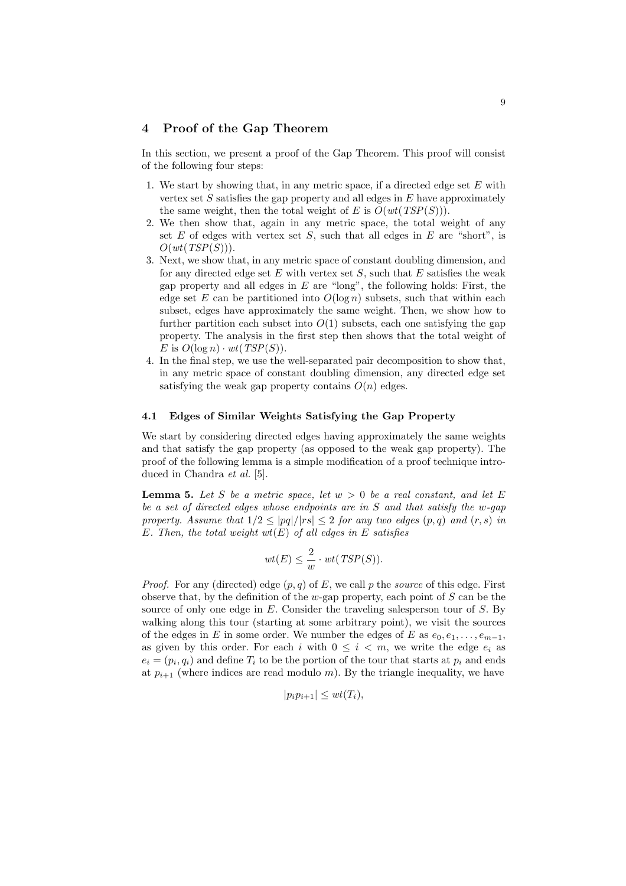## 4 Proof of the Gap Theorem

In this section, we present a proof of the Gap Theorem. This proof will consist of the following four steps:

- 1. We start by showing that, in any metric space, if a directed edge set  $E$  with vertex set  $S$  satisfies the gap property and all edges in  $E$  have approximately the same weight, then the total weight of E is  $O(wt(TSP(S)))$ .
- 2. We then show that, again in any metric space, the total weight of any set  $E$  of edges with vertex set  $S$ , such that all edges in  $E$  are "short", is  $O(wt(TSP(S))).$
- 3. Next, we show that, in any metric space of constant doubling dimension, and for any directed edge set  $E$  with vertex set  $S$ , such that  $E$  satisfies the weak gap property and all edges in  $E$  are "long", the following holds: First, the edge set E can be partitioned into  $O(\log n)$  subsets, such that within each subset, edges have approximately the same weight. Then, we show how to further partition each subset into  $O(1)$  subsets, each one satisfying the gap property. The analysis in the first step then shows that the total weight of E is  $O(\log n) \cdot wt(TSP(S))$ .
- 4. In the final step, we use the well-separated pair decomposition to show that, in any metric space of constant doubling dimension, any directed edge set satisfying the weak gap property contains  $O(n)$  edges.

#### 4.1 Edges of Similar Weights Satisfying the Gap Property

We start by considering directed edges having approximately the same weights and that satisfy the gap property (as opposed to the weak gap property). The proof of the following lemma is a simple modification of a proof technique introduced in Chandra et al. [5].

**Lemma 5.** Let S be a metric space, let  $w > 0$  be a real constant, and let E be a set of directed edges whose endpoints are in  $S$  and that satisfy the w-qap property. Assume that  $1/2 < |pq|/|rs| < 2$  for any two edges  $(p,q)$  and  $(r,s)$  in E. Then, the total weight  $wt(E)$  of all edges in E satisfies

$$
wt(E) \leq \frac{2}{w} \cdot wt(TSP(S)).
$$

*Proof.* For any (directed) edge  $(p, q)$  of E, we call p the *source* of this edge. First observe that, by the definition of the w-gap property, each point of  $S$  can be the source of only one edge in  $E$ . Consider the traveling salesperson tour of  $S$ . By walking along this tour (starting at some arbitrary point), we visit the sources of the edges in E in some order. We number the edges of E as  $e_0, e_1, \ldots, e_{m-1}$ , as given by this order. For each i with  $0 \leq i \leq m$ , we write the edge  $e_i$  as  $e_i = (p_i, q_i)$  and define  $T_i$  to be the portion of the tour that starts at  $p_i$  and ends at  $p_{i+1}$  (where indices are read modulo m). By the triangle inequality, we have

$$
|p_i p_{i+1}| \leq wt(T_i),
$$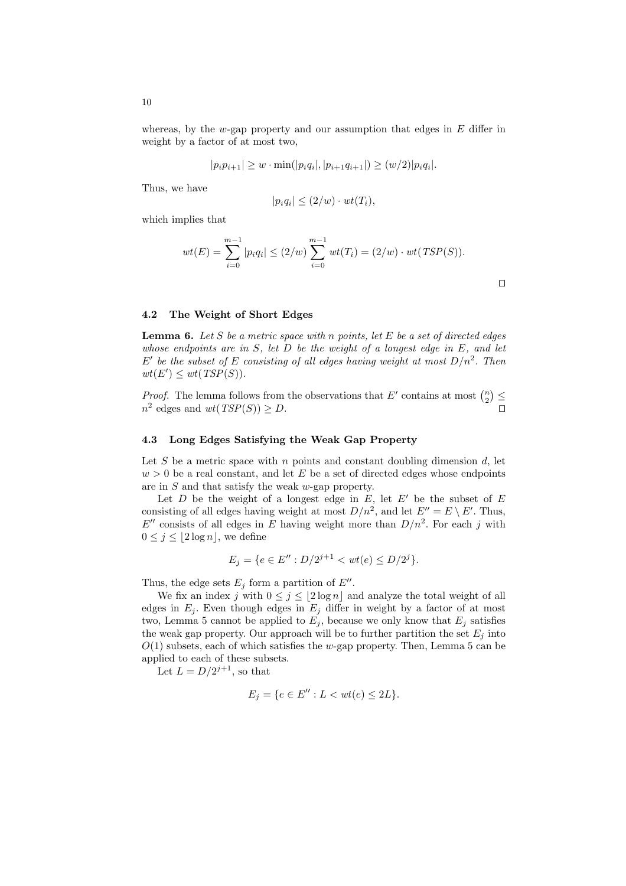whereas, by the w-gap property and our assumption that edges in  $E$  differ in weight by a factor of at most two,

$$
|p_i p_{i+1}| \geq w \cdot \min(|p_i q_i|, |p_{i+1} q_{i+1}|) \geq (w/2)|p_i q_i|.
$$

Thus, we have

$$
|p_i q_i| \le (2/w) \cdot wt(T_i),
$$

which implies that

$$
wt(E) = \sum_{i=0}^{m-1} |p_i q_i| \le (2/w) \sum_{i=0}^{m-1} wt(T_i) = (2/w) \cdot wt(TSP(S)).
$$

 $\Box$ 

#### 4.2 The Weight of Short Edges

**Lemma 6.** Let S be a metric space with n points, let E be a set of directed edges whose endpoints are in  $S$ , let  $D$  be the weight of a longest edge in  $E$ , and let E' be the subset of E consisting of all edges having weight at most  $D/n^2$ . Then  $wt(E') \leq wt(TSP(S)).$ 

*Proof.* The lemma follows from the observations that  $E'$  contains at most  $\binom{n}{2}$ ¢ ≤  $n^2$  edges and  $wt(TSP(S)) \ge D$ .

#### 4.3 Long Edges Satisfying the Weak Gap Property

Let S be a metric space with n points and constant doubling dimension  $d$ , let  $w > 0$  be a real constant, and let E be a set of directed edges whose endpoints are in S and that satisfy the weak w-gap property.

Let  $D$  be the weight of a longest edge in  $E$ , let  $E'$  be the subset of  $E$ consisting of all edges having weight at most  $D/n^2$ , and let  $E'' = E \setminus E'$ . Thus,  $E''$  consists of all edges in E having weight more than  $D/n^2$ . For each j with  $0 \leq j \leq |2 \log n|$ , we define

$$
E_j = \{ e \in E'': D/2^{j+1} < wt(e) \le D/2^j \}.
$$

Thus, the edge sets  $E_j$  form a partition of  $E''$ .

We fix an index j with  $0 \leq j \leq \lfloor 2 \log n \rfloor$  and analyze the total weight of all edges in  $E_j$ . Even though edges in  $E_j$  differ in weight by a factor of at most two, Lemma 5 cannot be applied to  $E_j$ , because we only know that  $E_j$  satisfies the weak gap property. Our approach will be to further partition the set  $E_i$  into  $O(1)$  subsets, each of which satisfies the w-gap property. Then, Lemma 5 can be applied to each of these subsets.

Let  $L = D/2^{j+1}$ , so that

$$
E_j = \{ e \in E'': L < wt(e) \le 2L \}.
$$

10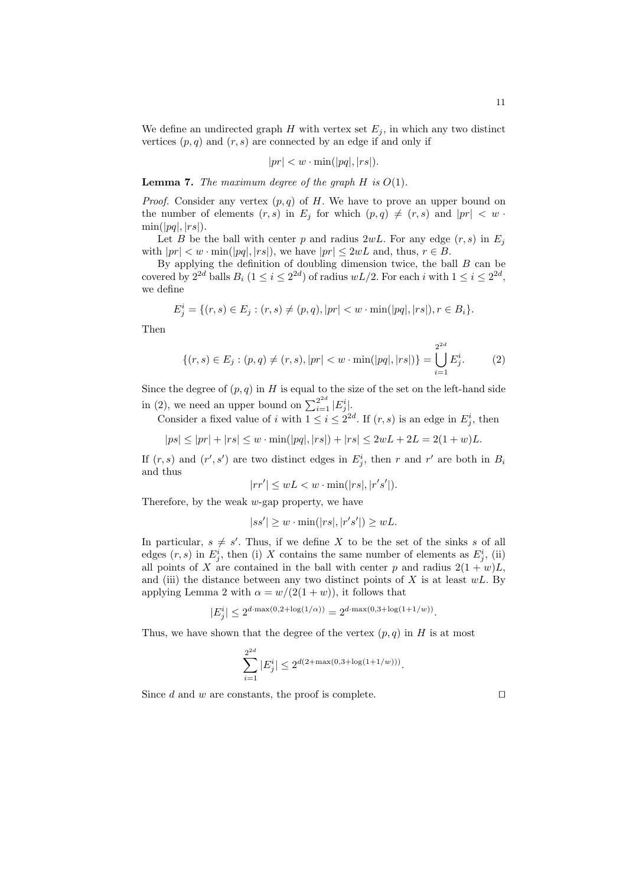We define an undirected graph H with vertex set  $E_j$ , in which any two distinct vertices  $(p, q)$  and  $(r, s)$  are connected by an edge if and only if

$$
|pr| < w \cdot \min(|pq|, |rs|).
$$

**Lemma 7.** The maximum degree of the graph  $H$  is  $O(1)$ .

*Proof.* Consider any vertex  $(p, q)$  of H. We have to prove an upper bound on the number of elements  $(r, s)$  in  $E_i$  for which  $(p, q) \neq (r, s)$  and  $|pr| < w$ .  $\min(|pq|, |rs|).$ 

Let B be the ball with center p and radius 2wL. For any edge  $(r, s)$  in  $E_i$ with  $|pr| < w \cdot \min(|pq|, |rs|)$ , we have  $|pr| \leq 2wL$  and, thus,  $r \in B$ .

By applying the definition of doubling dimension twice, the ball  $B$  can be covered by  $2^{2d}$  balls  $B_i$   $(1 \leq i \leq 2^{2d})$  of radius  $wL/2$ . For each i with  $1 \leq i \leq 2^{2d}$ , we define

$$
E_j^i = \{(r, s) \in E_j : (r, s) \neq (p, q), |pr| < w \cdot \min(|pq|, |rs|), r \in B_i\}.
$$

Then

$$
\{(r,s)\in E_j: (p,q)\neq (r,s), |pr|< w \cdot \min(|pq|,|rs|)\} = \bigcup_{i=1}^{2^{2d}} E_j^i. \tag{2}
$$

 $2d$ 

Since the degree of  $(p, q)$  in H is equal to the size of the set on the left-hand side in (2), we need an upper bound on  $\sum_{i=1}^{2^{2d}} |E_j^i|$ .

Consider a fixed value of i with  $1 \leq i \leq 2^{2d}$ . If  $(r, s)$  is an edge in  $E_j^i$ , then

 $|ps| \le |pr| + |rs| \le w \cdot \min(|pq|, |rs|) + |rs| \le 2wL + 2L = 2(1+w)L.$ 

If  $(r, s)$  and  $(r', s')$  are two distinct edges in  $E_j^i$ , then r and r' are both in  $B_i$ and thus

$$
|rr'| \le wL < w \cdot \min(|rs|, |r's'|).
$$

Therefore, by the weak  $w$ -gap property, we have

$$
|ss'| \ge w \cdot \min(|rs|, |r's'|) \ge wL.
$$

In particular,  $s \neq s'$ . Thus, if we define X to be the set of the sinks s of all edges  $(r, s)$  in  $E_j^i$ , then (i) X contains the same number of elements as  $E_j^i$ , (ii) all points of X are contained in the ball with center p and radius  $2(1+w)L$ , and (iii) the distance between any two distinct points of  $X$  is at least  $wL$ . By applying Lemma 2 with  $\alpha = w/(2(1+w))$ , it follows that

$$
|E_j^i| \le 2^{d \cdot \max(0, 2 + \log(1/\alpha))} = 2^{d \cdot \max(0, 3 + \log(1 + 1/w))}.
$$

Thus, we have shown that the degree of the vertex  $(p, q)$  in H is at most

$$
\sum_{i=1}^{2^{2d}} |E_j^i| \le 2^{d(2 + \max(0, 3 + \log(1 + 1/w)))}.
$$

Since d and w are constants, the proof is complete.  $\Box$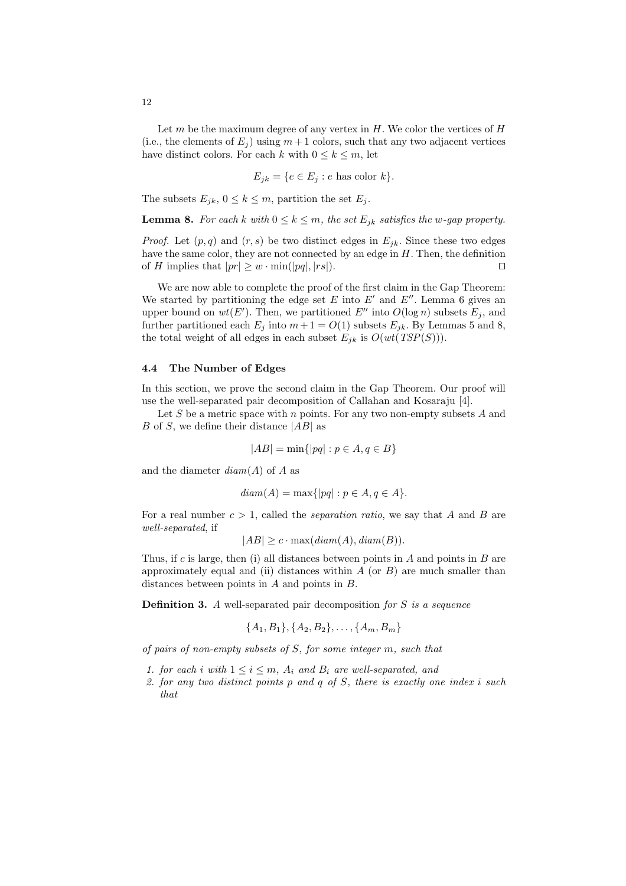Let  $m$  be the maximum degree of any vertex in  $H$ . We color the vertices of  $H$ (i.e., the elements of  $E_i$ ) using  $m+1$  colors, such that any two adjacent vertices have distinct colors. For each k with  $0 \leq k \leq m$ , let

$$
E_{jk} = \{ e \in E_j : e \text{ has color } k \}.
$$

The subsets  $E_{jk}$ ,  $0 \le k \le m$ , partition the set  $E_j$ .

**Lemma 8.** For each k with  $0 \leq k \leq m$ , the set  $E_{jk}$  satisfies the w-gap property.

*Proof.* Let  $(p, q)$  and  $(r, s)$  be two distinct edges in  $E_{jk}$ . Since these two edges have the same color, they are not connected by an edge in  $H$ . Then, the definition of H implies that  $|pr| \geq w \cdot \min(|pq|, |rs|)$ .

We are now able to complete the proof of the first claim in the Gap Theorem: We started by partitioning the edge set  $E$  into  $E'$  and  $E''$ . Lemma 6 gives an upper bound on  $wt(E')$ . Then, we partitioned E'' into  $O(\log n)$  subsets  $E_j$ , and further partitioned each  $E_j$  into  $m + 1 = O(1)$  subsets  $E_{jk}$ . By Lemmas 5 and 8, the total weight of all edges in each subset  $E_{jk}$  is  $O(wt(TSP(S))).$ 

#### 4.4 The Number of Edges

In this section, we prove the second claim in the Gap Theorem. Our proof will use the well-separated pair decomposition of Callahan and Kosaraju [4].

Let  $S$  be a metric space with  $n$  points. For any two non-empty subsets  $A$  and B of S, we define their distance  $|AB|$  as

$$
|AB| = \min\{|pq| : p \in A, q \in B\}
$$

and the diameter  $diam(A)$  of A as

$$
diam(A) = \max\{|pq| : p \in A, q \in A\}.
$$

For a real number  $c > 1$ , called the *separation ratio*, we say that A and B are well-separated, if

$$
|AB| \geq c \cdot \max(diam(A), diam(B)).
$$

Thus, if c is large, then (i) all distances between points in A and points in B are approximately equal and (ii) distances within  $A$  (or  $B$ ) are much smaller than distances between points in A and points in B.

**Definition 3.** A well-separated pair decomposition for  $S$  is a sequence

$$
\{A_1, B_1\}, \{A_2, B_2\}, \ldots, \{A_m, B_m\}
$$

of pairs of non-empty subsets of S, for some integer m, such that

- 1. for each i with  $1 \leq i \leq m$ ,  $A_i$  and  $B_i$  are well-separated, and
- 2. for any two distinct points  $p$  and  $q$  of  $S$ , there is exactly one index i such that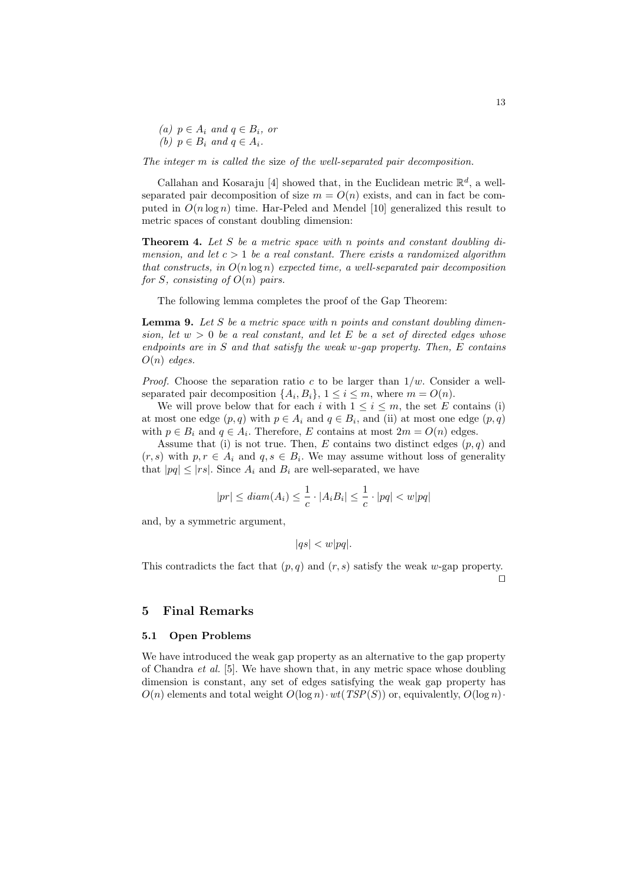(a)  $p \in A_i$  and  $q \in B_i$ , or (b)  $p \in B_i$  and  $q \in A_i$ .

The integer m is called the size of the well-separated pair decomposition.

Callahan and Kosaraju [4] showed that, in the Euclidean metric  $\mathbb{R}^d$ , a wellseparated pair decomposition of size  $m = O(n)$  exists, and can in fact be computed in  $O(n \log n)$  time. Har-Peled and Mendel [10] generalized this result to metric spaces of constant doubling dimension:

**Theorem 4.** Let S be a metric space with n points and constant doubling dimension, and let  $c > 1$  be a real constant. There exists a randomized algorithm that constructs, in  $O(n \log n)$  expected time, a well-separated pair decomposition for S, consisting of  $O(n)$  pairs.

The following lemma completes the proof of the Gap Theorem:

**Lemma 9.** Let  $S$  be a metric space with n points and constant doubling dimension, let  $w > 0$  be a real constant, and let E be a set of directed edges whose endpoints are in  $S$  and that satisfy the weak w-gap property. Then,  $E$  contains  $O(n)$  edges.

*Proof.* Choose the separation ratio c to be larger than  $1/w$ . Consider a wellseparated pair decomposition  $\{A_i, B_i\}, 1 \leq i \leq m$ , where  $m = O(n)$ .

We will prove below that for each i with  $1 \leq i \leq m$ , the set E contains (i) at most one edge  $(p, q)$  with  $p \in A_i$  and  $q \in B_i$ , and (ii) at most one edge  $(p, q)$ with  $p \in B_i$  and  $q \in A_i$ . Therefore, E contains at most  $2m = O(n)$  edges.

Assume that (i) is not true. Then, E contains two distinct edges  $(p, q)$  and  $(r, s)$  with  $p, r \in A_i$  and  $q, s \in B_i$ . We may assume without loss of generality that  $|pq| \leq |rs|$ . Since  $A_i$  and  $B_i$  are well-separated, we have

$$
|pr| \leq diam(A_i) \leq \frac{1}{c} \cdot |A_i B_i| \leq \frac{1}{c} \cdot |pq| < w|pq|
$$

and, by a symmetric argument,

$$
|qs| < w|pq|.
$$

This contradicts the fact that  $(p, q)$  and  $(r, s)$  satisfy the weak w-gap property.

 $\Box$ 

#### 5 Final Remarks

#### 5.1 Open Problems

We have introduced the weak gap property as an alternative to the gap property of Chandra et al. [5]. We have shown that, in any metric space whose doubling dimension is constant, any set of edges satisfying the weak gap property has  $O(n)$  elements and total weight  $O(\log n) \cdot wt(TSP(S))$  or, equivalently,  $O(\log n) \cdot$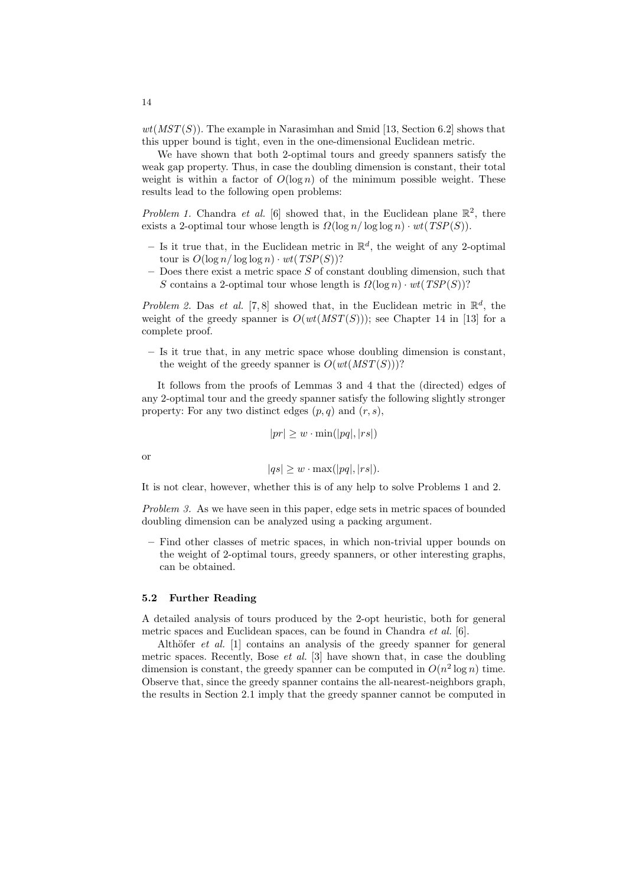$wt(MST(S))$ . The example in Narasimhan and Smid [13, Section 6.2] shows that this upper bound is tight, even in the one-dimensional Euclidean metric.

We have shown that both 2-optimal tours and greedy spanners satisfy the weak gap property. Thus, in case the doubling dimension is constant, their total weight is within a factor of  $O(\log n)$  of the minimum possible weight. These results lead to the following open problems:

Problem 1. Chandra et al. [6] showed that, in the Euclidean plane  $\mathbb{R}^2$ , there exists a 2-optimal tour whose length is  $\Omega(\log n / \log \log n) \cdot wt(TSP(S)).$ 

- Is it true that, in the Euclidean metric in  $\mathbb{R}^d$ , the weight of any 2-optimal tour is  $O(\log n / \log \log n) \cdot wt(TSP(S))$ ?
- $-$  Does there exist a metric space S of constant doubling dimension, such that S contains a 2-optimal tour whose length is  $\Omega(\log n) \cdot wt(TSP(S))$ ?

Problem 2. Das et al. [7,8] showed that, in the Euclidean metric in  $\mathbb{R}^d$ , the weight of the greedy spanner is  $O(wt(MST(S)))$ ; see Chapter 14 in [13] for a complete proof.

– Is it true that, in any metric space whose doubling dimension is constant, the weight of the greedy spanner is  $O(wt(MST(S)))$ ?

It follows from the proofs of Lemmas 3 and 4 that the (directed) edges of any 2-optimal tour and the greedy spanner satisfy the following slightly stronger property: For any two distinct edges  $(p, q)$  and  $(r, s)$ ,

$$
|pr| \geq w \cdot \min(|pq|, |rs|)
$$

or

$$
|qs| \geq w \cdot \max(|pq|, |rs|).
$$

It is not clear, however, whether this is of any help to solve Problems 1 and 2.

Problem 3. As we have seen in this paper, edge sets in metric spaces of bounded doubling dimension can be analyzed using a packing argument.

– Find other classes of metric spaces, in which non-trivial upper bounds on the weight of 2-optimal tours, greedy spanners, or other interesting graphs, can be obtained.

#### 5.2 Further Reading

A detailed analysis of tours produced by the 2-opt heuristic, both for general metric spaces and Euclidean spaces, can be found in Chandra et al. [6].

Althöfer *et al.* [1] contains an analysis of the greedy spanner for general metric spaces. Recently, Bose *et al.* [3] have shown that, in case the doubling dimension is constant, the greedy spanner can be computed in  $O(n^2 \log n)$  time. Observe that, since the greedy spanner contains the all-nearest-neighbors graph, the results in Section 2.1 imply that the greedy spanner cannot be computed in

14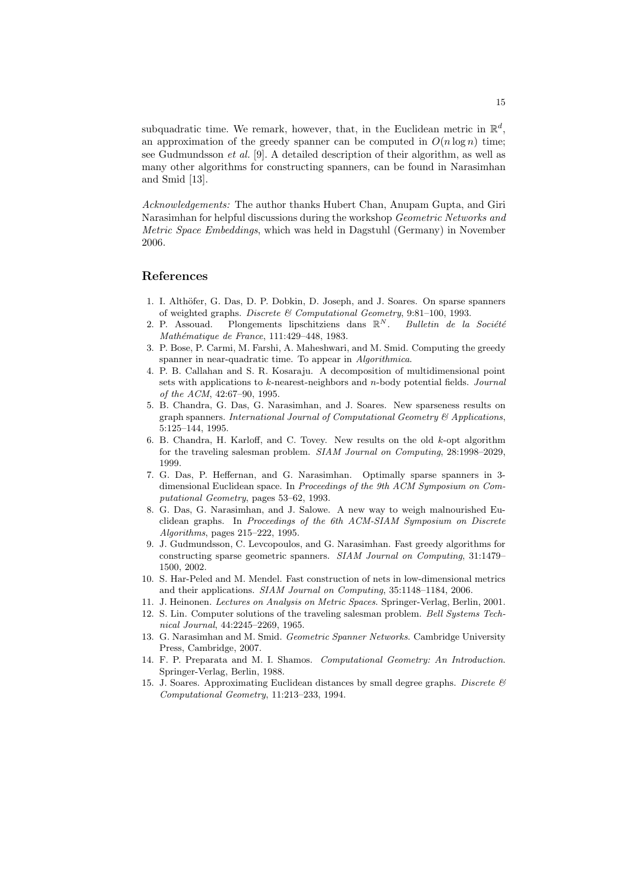subquadratic time. We remark, however, that, in the Euclidean metric in  $\mathbb{R}^d$ , an approximation of the greedy spanner can be computed in  $O(n \log n)$  time; see Gudmundsson et al. [9]. A detailed description of their algorithm, as well as many other algorithms for constructing spanners, can be found in Narasimhan and Smid [13].

Acknowledgements: The author thanks Hubert Chan, Anupam Gupta, and Giri Narasimhan for helpful discussions during the workshop Geometric Networks and Metric Space Embeddings, which was held in Dagstuhl (Germany) in November 2006.

# References

- 1. I. Althöfer, G. Das, D. P. Dobkin, D. Joseph, and J. Soares. On sparse spanners of weighted graphs. Discrete & Computational Geometry, 9:81–100, 1993.
- 2. P. Assouad. Plongements lipschitziens dans  $\mathbb{R}^N$ . Bulletin de la Société Mathématique de France, 111:429-448, 1983.
- 3. P. Bose, P. Carmi, M. Farshi, A. Maheshwari, and M. Smid. Computing the greedy spanner in near-quadratic time. To appear in Algorithmica.
- 4. P. B. Callahan and S. R. Kosaraju. A decomposition of multidimensional point sets with applications to k-nearest-neighbors and n-body potential fields. Journal of the ACM, 42:67–90, 1995.
- 5. B. Chandra, G. Das, G. Narasimhan, and J. Soares. New sparseness results on graph spanners. International Journal of Computational Geometry  $\mathcal B$  Applications, 5:125–144, 1995.
- 6. B. Chandra, H. Karloff, and C. Tovey. New results on the old k-opt algorithm for the traveling salesman problem. SIAM Journal on Computing, 28:1998–2029, 1999.
- 7. G. Das, P. Heffernan, and G. Narasimhan. Optimally sparse spanners in 3 dimensional Euclidean space. In Proceedings of the 9th ACM Symposium on Computational Geometry, pages 53–62, 1993.
- 8. G. Das, G. Narasimhan, and J. Salowe. A new way to weigh malnourished Euclidean graphs. In Proceedings of the 6th ACM-SIAM Symposium on Discrete Algorithms, pages 215–222, 1995.
- 9. J. Gudmundsson, C. Levcopoulos, and G. Narasimhan. Fast greedy algorithms for constructing sparse geometric spanners. SIAM Journal on Computing, 31:1479– 1500, 2002.
- 10. S. Har-Peled and M. Mendel. Fast construction of nets in low-dimensional metrics and their applications. SIAM Journal on Computing, 35:1148–1184, 2006.
- 11. J. Heinonen. Lectures on Analysis on Metric Spaces. Springer-Verlag, Berlin, 2001.
- 12. S. Lin. Computer solutions of the traveling salesman problem. Bell Systems Technical Journal, 44:2245–2269, 1965.
- 13. G. Narasimhan and M. Smid. Geometric Spanner Networks. Cambridge University Press, Cambridge, 2007.
- 14. F. P. Preparata and M. I. Shamos. Computational Geometry: An Introduction. Springer-Verlag, Berlin, 1988.
- 15. J. Soares. Approximating Euclidean distances by small degree graphs. Discrete  $\mathcal C$ Computational Geometry, 11:213–233, 1994.